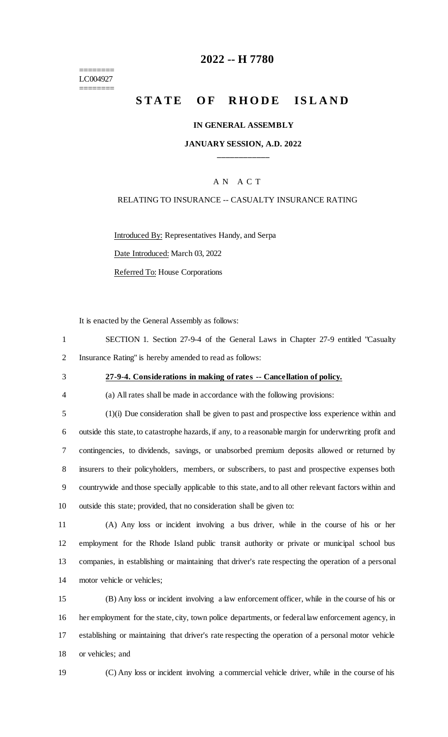======== LC004927 ========

### **-- H 7780**

# **STATE OF RHODE ISLAND**

#### **IN GENERAL ASSEMBLY**

#### **JANUARY SESSION, A.D. 2022 \_\_\_\_\_\_\_\_\_\_\_\_**

#### A N A C T

#### RELATING TO INSURANCE -- CASUALTY INSURANCE RATING

Introduced By: Representatives Handy, and Serpa

Date Introduced: March 03, 2022

Referred To: House Corporations

It is enacted by the General Assembly as follows:

 SECTION 1. Section 27-9-4 of the General Laws in Chapter 27-9 entitled "Casualty Insurance Rating" is hereby amended to read as follows:

### **27-9-4. Considerations in making of rates -- Cancellation of policy.**

(a) All rates shall be made in accordance with the following provisions:

 (1)(i) Due consideration shall be given to past and prospective loss experience within and outside this state, to catastrophe hazards, if any, to a reasonable margin for underwriting profit and contingencies, to dividends, savings, or unabsorbed premium deposits allowed or returned by insurers to their policyholders, members, or subscribers, to past and prospective expenses both countrywide and those specially applicable to this state, and to all other relevant factors within and outside this state; provided, that no consideration shall be given to:

 (A) Any loss or incident involving a bus driver, while in the course of his or her employment for the Rhode Island public transit authority or private or municipal school bus companies, in establishing or maintaining that driver's rate respecting the operation of a personal motor vehicle or vehicles;

 (B) Any loss or incident involving a law enforcement officer, while in the course of his or her employment for the state, city, town police departments, or federal law enforcement agency, in establishing or maintaining that driver's rate respecting the operation of a personal motor vehicle or vehicles; and

(C) Any loss or incident involving a commercial vehicle driver, while in the course of his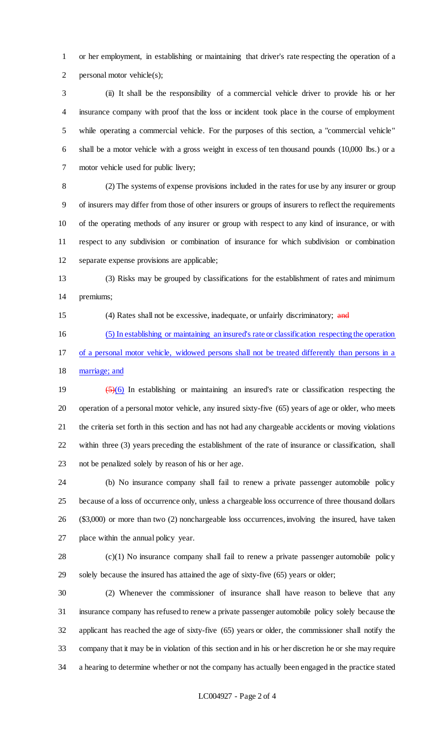or her employment, in establishing or maintaining that driver's rate respecting the operation of a personal motor vehicle(s);

 (ii) It shall be the responsibility of a commercial vehicle driver to provide his or her insurance company with proof that the loss or incident took place in the course of employment while operating a commercial vehicle. For the purposes of this section, a "commercial vehicle" shall be a motor vehicle with a gross weight in excess of ten thousand pounds (10,000 lbs.) or a motor vehicle used for public livery;

 (2) The systems of expense provisions included in the rates for use by any insurer or group of insurers may differ from those of other insurers or groups of insurers to reflect the requirements of the operating methods of any insurer or group with respect to any kind of insurance, or with respect to any subdivision or combination of insurance for which subdivision or combination separate expense provisions are applicable;

 (3) Risks may be grouped by classifications for the establishment of rates and minimum premiums;

(4) Rates shall not be excessive, inadequate, or unfairly discriminatory; and

 (5) In establishing or maintaining an insured's rate or classification respecting the operation of a personal motor vehicle, widowed persons shall not be treated differently than persons in a

marriage; and

 (5)(6) In establishing or maintaining an insured's rate or classification respecting the operation of a personal motor vehicle, any insured sixty-five (65) years of age or older, who meets the criteria set forth in this section and has not had any chargeable accidents or moving violations within three (3) years preceding the establishment of the rate of insurance or classification, shall not be penalized solely by reason of his or her age.

 (b) No insurance company shall fail to renew a private passenger automobile policy because of a loss of occurrence only, unless a chargeable loss occurrence of three thousand dollars (\$3,000) or more than two (2) nonchargeable loss occurrences, involving the insured, have taken place within the annual policy year.

 (c)(1) No insurance company shall fail to renew a private passenger automobile policy solely because the insured has attained the age of sixty-five (65) years or older;

 (2) Whenever the commissioner of insurance shall have reason to believe that any insurance company has refused to renew a private passenger automobile policy solely because the applicant has reached the age of sixty-five (65) years or older, the commissioner shall notify the company that it may be in violation of this section and in his or her discretion he or she may require a hearing to determine whether or not the company has actually been engaged in the practice stated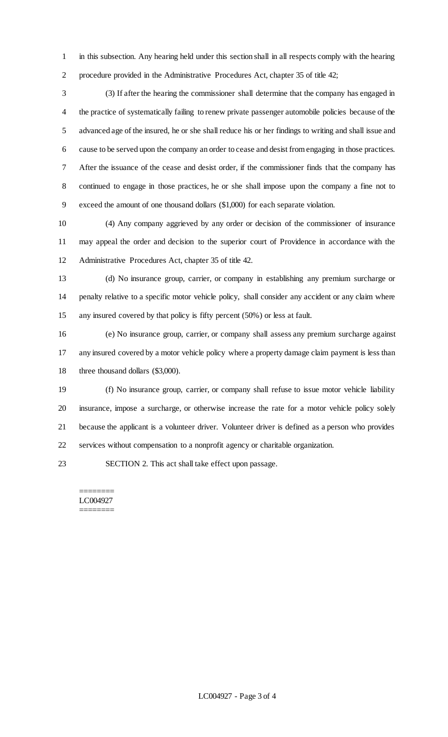in this subsection. Any hearing held under this section shall in all respects comply with the hearing procedure provided in the Administrative Procedures Act, chapter 35 of title 42;

 (3) If after the hearing the commissioner shall determine that the company has engaged in the practice of systematically failing to renew private passenger automobile policies because of the advanced age of the insured, he or she shall reduce his or her findings to writing and shall issue and cause to be served upon the company an order to cease and desist from engaging in those practices. After the issuance of the cease and desist order, if the commissioner finds that the company has continued to engage in those practices, he or she shall impose upon the company a fine not to exceed the amount of one thousand dollars (\$1,000) for each separate violation.

 (4) Any company aggrieved by any order or decision of the commissioner of insurance may appeal the order and decision to the superior court of Providence in accordance with the Administrative Procedures Act, chapter 35 of title 42.

 (d) No insurance group, carrier, or company in establishing any premium surcharge or penalty relative to a specific motor vehicle policy, shall consider any accident or any claim where any insured covered by that policy is fifty percent (50%) or less at fault.

 (e) No insurance group, carrier, or company shall assess any premium surcharge against any insured covered by a motor vehicle policy where a property damage claim payment is less than 18 three thousand dollars (\$3,000).

 (f) No insurance group, carrier, or company shall refuse to issue motor vehicle liability insurance, impose a surcharge, or otherwise increase the rate for a motor vehicle policy solely because the applicant is a volunteer driver. Volunteer driver is defined as a person who provides services without compensation to a nonprofit agency or charitable organization.

SECTION 2. This act shall take effect upon passage.

======== LC004927 ========